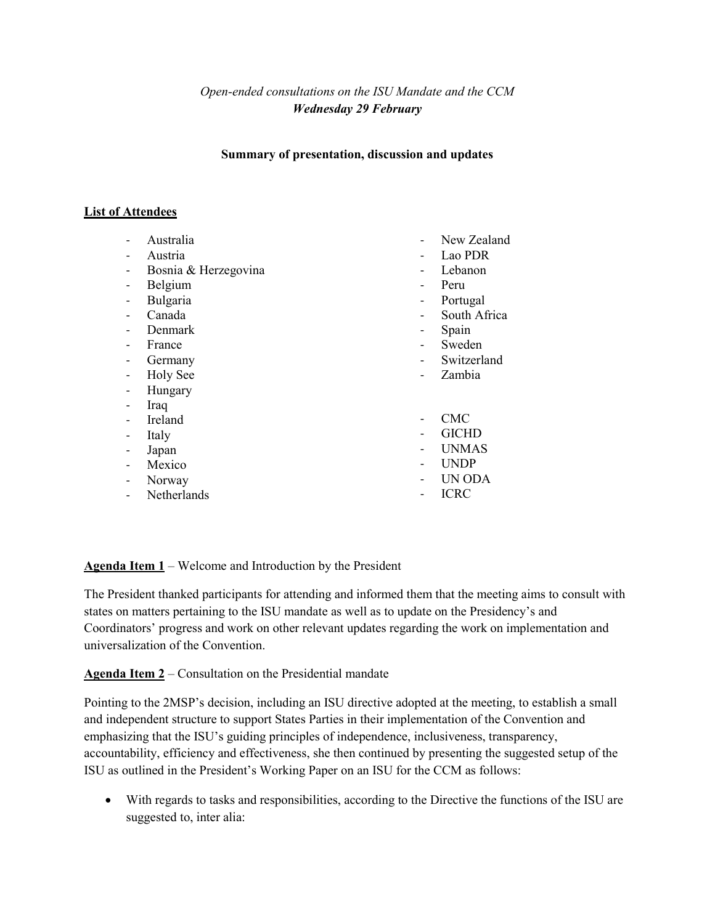*Open-ended consultations on the ISU Mandate and the CCM Wednesday 29 February*

**Summary of presentation, discussion and updates**

# **List of Attendees**

- Australia
- Austria
- Bosnia & Herzegovina
- Belgium
- Bulgaria
- Canada
- Denmark
- France
- Germany
- Holy See
- Hungary
- Iraq
- Ireland
- Italy
- Japan
- Mexico
- Norway
- Netherlands
- New Zealand
- Lao PDR
- Lebanon
- Peru
- Portugal
- South Africa
- Spain
- **Sweden**
- **Switzerland**
- Zambia
- CMC
- GICHD
- UNMAS
- UNDP
- UN ODA
- ICRC

**Agenda Item 1** – Welcome and Introduction by the President

The President thanked participants for attending and informed them that the meeting aims to consult with states on matters pertaining to the ISU mandate as well as to update on the Presidency's and Coordinators' progress and work on other relevant updates regarding the work on implementation and universalization of the Convention.

**Agenda Item 2** – Consultation on the Presidential mandate

Pointing to the 2MSP's decision, including an ISU directive adopted at the meeting, to establish a small and independent structure to support States Parties in their implementation of the Convention and emphasizing that the ISU's guiding principles of independence, inclusiveness, transparency, accountability, efficiency and effectiveness, she then continued by presenting the suggested setup of the ISU as outlined in the President's Working Paper on an ISU for the CCM as follows:

• With regards to tasks and responsibilities, according to the Directive the functions of the ISU are suggested to, inter alia: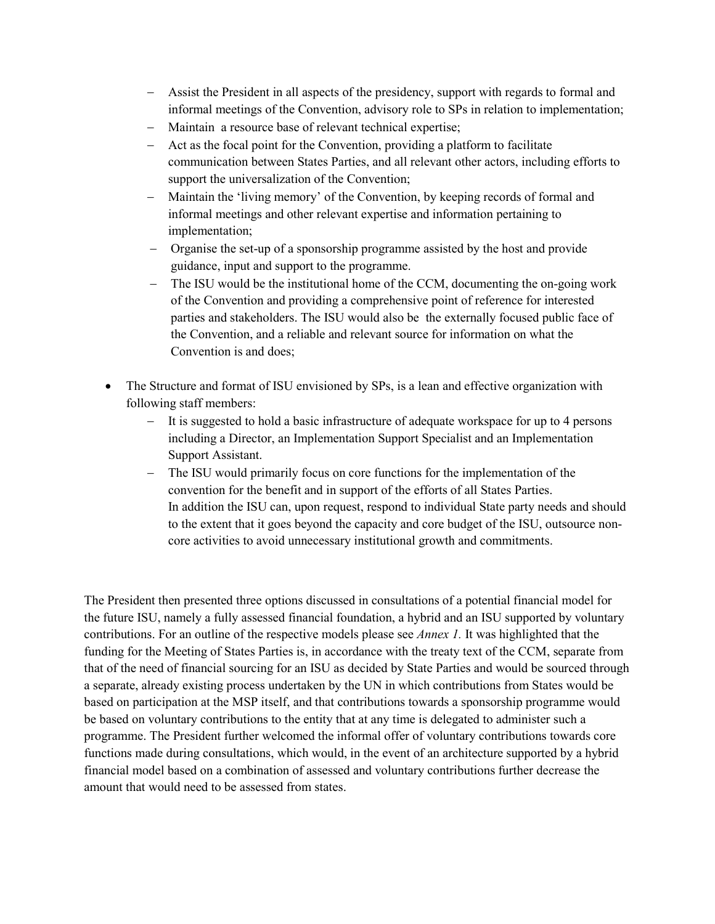- − Assist the President in all aspects of the presidency, support with regards to formal and informal meetings of the Convention, advisory role to SPs in relation to implementation;
- − Maintain a resource base of relevant technical expertise;
- − Act as the focal point for the Convention, providing a platform to facilitate communication between States Parties, and all relevant other actors, including efforts to support the universalization of the Convention;
- − Maintain the 'living memory' of the Convention, by keeping records of formal and informal meetings and other relevant expertise and information pertaining to implementation;
- − Organise the set-up of a sponsorship programme assisted by the host and provide guidance, input and support to the programme.
- − The ISU would be the institutional home of the CCM, documenting the on-going work of the Convention and providing a comprehensive point of reference for interested parties and stakeholders. The ISU would also be the externally focused public face of the Convention, and a reliable and relevant source for information on what the Convention is and does;
- The Structure and format of ISU envisioned by SPs, is a lean and effective organization with following staff members:
	- − It is suggested to hold a basic infrastructure of adequate workspace for up to 4 persons including a Director, an Implementation Support Specialist and an Implementation Support Assistant.
	- − The ISU would primarily focus on core functions for the implementation of the convention for the benefit and in support of the efforts of all States Parties. In addition the ISU can, upon request, respond to individual State party needs and should to the extent that it goes beyond the capacity and core budget of the ISU, outsource noncore activities to avoid unnecessary institutional growth and commitments.

The President then presented three options discussed in consultations of a potential financial model for the future ISU, namely a fully assessed financial foundation, a hybrid and an ISU supported by voluntary contributions. For an outline of the respective models please see *Annex 1.* It was highlighted that the funding for the Meeting of States Parties is, in accordance with the treaty text of the CCM, separate from that of the need of financial sourcing for an ISU as decided by State Parties and would be sourced through a separate, already existing process undertaken by the UN in which contributions from States would be based on participation at the MSP itself, and that contributions towards a sponsorship programme would be based on voluntary contributions to the entity that at any time is delegated to administer such a programme. The President further welcomed the informal offer of voluntary contributions towards core functions made during consultations, which would, in the event of an architecture supported by a hybrid financial model based on a combination of assessed and voluntary contributions further decrease the amount that would need to be assessed from states.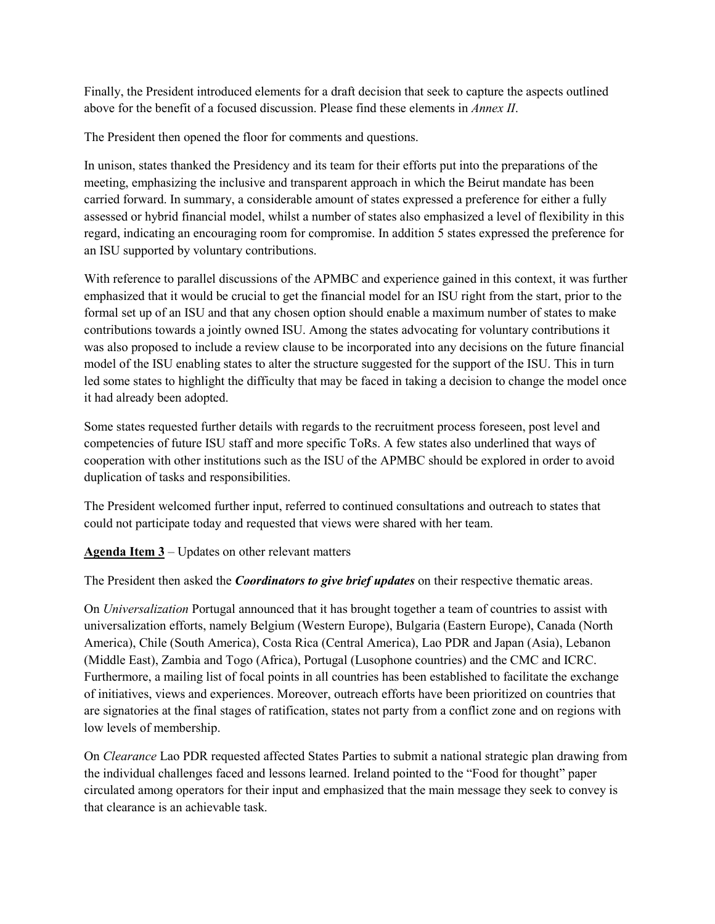Finally, the President introduced elements for a draft decision that seek to capture the aspects outlined above for the benefit of a focused discussion. Please find these elements in *Annex II*.

The President then opened the floor for comments and questions.

In unison, states thanked the Presidency and its team for their efforts put into the preparations of the meeting, emphasizing the inclusive and transparent approach in which the Beirut mandate has been carried forward. In summary, a considerable amount of states expressed a preference for either a fully assessed or hybrid financial model, whilst a number of states also emphasized a level of flexibility in this regard, indicating an encouraging room for compromise. In addition 5 states expressed the preference for an ISU supported by voluntary contributions.

With reference to parallel discussions of the APMBC and experience gained in this context, it was further emphasized that it would be crucial to get the financial model for an ISU right from the start, prior to the formal set up of an ISU and that any chosen option should enable a maximum number of states to make contributions towards a jointly owned ISU. Among the states advocating for voluntary contributions it was also proposed to include a review clause to be incorporated into any decisions on the future financial model of the ISU enabling states to alter the structure suggested for the support of the ISU. This in turn led some states to highlight the difficulty that may be faced in taking a decision to change the model once it had already been adopted.

Some states requested further details with regards to the recruitment process foreseen, post level and competencies of future ISU staff and more specific ToRs. A few states also underlined that ways of cooperation with other institutions such as the ISU of the APMBC should be explored in order to avoid duplication of tasks and responsibilities.

The President welcomed further input, referred to continued consultations and outreach to states that could not participate today and requested that views were shared with her team.

**Agenda Item 3** – Updates on other relevant matters

The President then asked the *Coordinators to give brief updates* on their respective thematic areas.

On *Universalization* Portugal announced that it has brought together a team of countries to assist with universalization efforts, namely Belgium (Western Europe), Bulgaria (Eastern Europe), Canada (North America), Chile (South America), Costa Rica (Central America), Lao PDR and Japan (Asia), Lebanon (Middle East), Zambia and Togo (Africa), Portugal (Lusophone countries) and the CMC and ICRC. Furthermore, a mailing list of focal points in all countries has been established to facilitate the exchange of initiatives, views and experiences. Moreover, outreach efforts have been prioritized on countries that are signatories at the final stages of ratification, states not party from a conflict zone and on regions with low levels of membership.

On *Clearance* Lao PDR requested affected States Parties to submit a national strategic plan drawing from the individual challenges faced and lessons learned. Ireland pointed to the "Food for thought" paper circulated among operators for their input and emphasized that the main message they seek to convey is that clearance is an achievable task.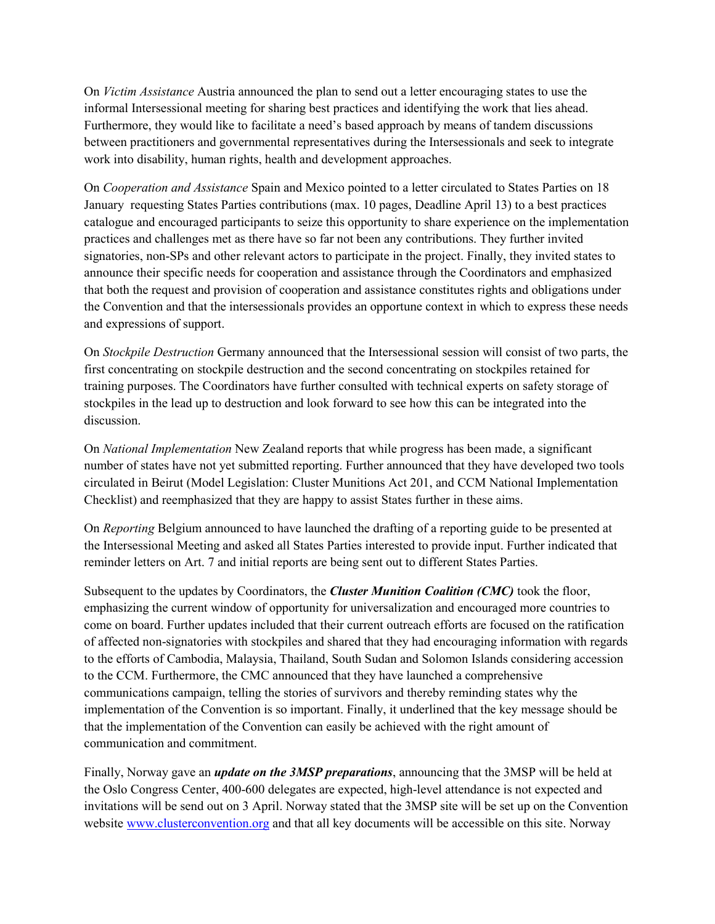On *Victim Assistance* Austria announced the plan to send out a letter encouraging states to use the informal Intersessional meeting for sharing best practices and identifying the work that lies ahead. Furthermore, they would like to facilitate a need's based approach by means of tandem discussions between practitioners and governmental representatives during the Intersessionals and seek to integrate work into disability, human rights, health and development approaches.

On *Cooperation and Assistance* Spain and Mexico pointed to a letter circulated to States Parties on 18 January requesting States Parties contributions (max. 10 pages, Deadline April 13) to a best practices catalogue and encouraged participants to seize this opportunity to share experience on the implementation practices and challenges met as there have so far not been any contributions. They further invited signatories, non-SPs and other relevant actors to participate in the project. Finally, they invited states to announce their specific needs for cooperation and assistance through the Coordinators and emphasized that both the request and provision of cooperation and assistance constitutes rights and obligations under the Convention and that the intersessionals provides an opportune context in which to express these needs and expressions of support.

On *Stockpile Destruction* Germany announced that the Intersessional session will consist of two parts, the first concentrating on stockpile destruction and the second concentrating on stockpiles retained for training purposes. The Coordinators have further consulted with technical experts on safety storage of stockpiles in the lead up to destruction and look forward to see how this can be integrated into the discussion.

On *National Implementation* New Zealand reports that while progress has been made, a significant number of states have not yet submitted reporting. Further announced that they have developed two tools circulated in Beirut (Model Legislation: Cluster Munitions Act 201, and CCM National Implementation Checklist) and reemphasized that they are happy to assist States further in these aims.

On *Reporting* Belgium announced to have launched the drafting of a reporting guide to be presented at the Intersessional Meeting and asked all States Parties interested to provide input. Further indicated that reminder letters on Art. 7 and initial reports are being sent out to different States Parties.

Subsequent to the updates by Coordinators, the *Cluster Munition Coalition (CMC)* took the floor, emphasizing the current window of opportunity for universalization and encouraged more countries to come on board. Further updates included that their current outreach efforts are focused on the ratification of affected non-signatories with stockpiles and shared that they had encouraging information with regards to the efforts of Cambodia, Malaysia, Thailand, South Sudan and Solomon Islands considering accession to the CCM. Furthermore, the CMC announced that they have launched a comprehensive communications campaign, telling the stories of survivors and thereby reminding states why the implementation of the Convention is so important. Finally, it underlined that the key message should be that the implementation of the Convention can easily be achieved with the right amount of communication and commitment.

Finally, Norway gave an *update on the 3MSP preparations*, announcing that the 3MSP will be held at the Oslo Congress Center, 400-600 delegates are expected, high-level attendance is not expected and invitations will be send out on 3 April. Norway stated that the 3MSP site will be set up on the Convention website [www.clusterconvention.org](http://www.clusterconvention.org/) and that all key documents will be accessible on this site. Norway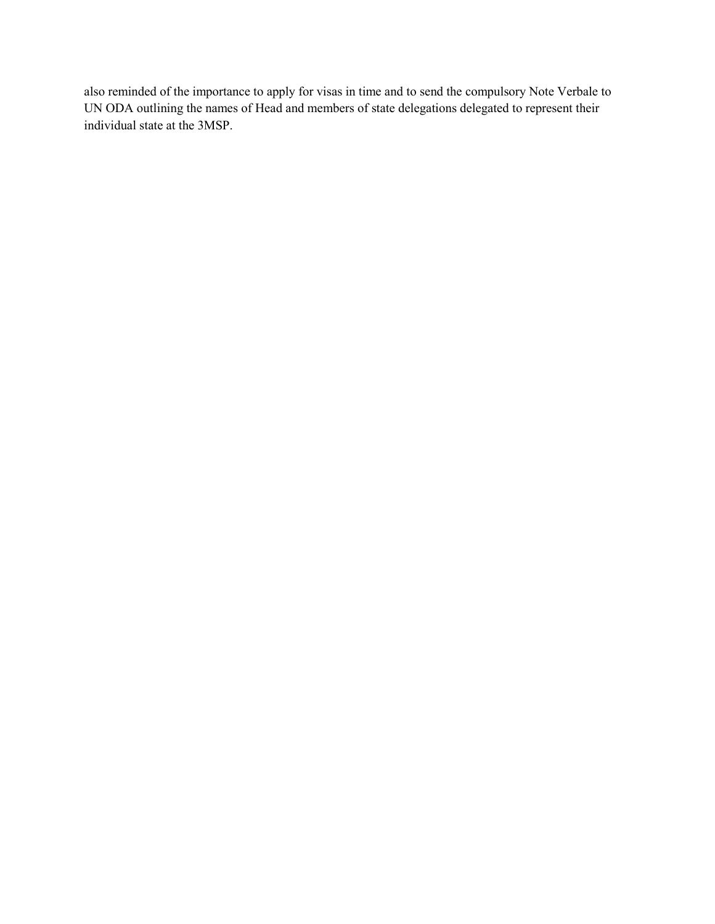also reminded of the importance to apply for visas in time and to send the compulsory Note Verbale to UN ODA outlining the names of Head and members of state delegations delegated to represent their individual state at the 3MSP.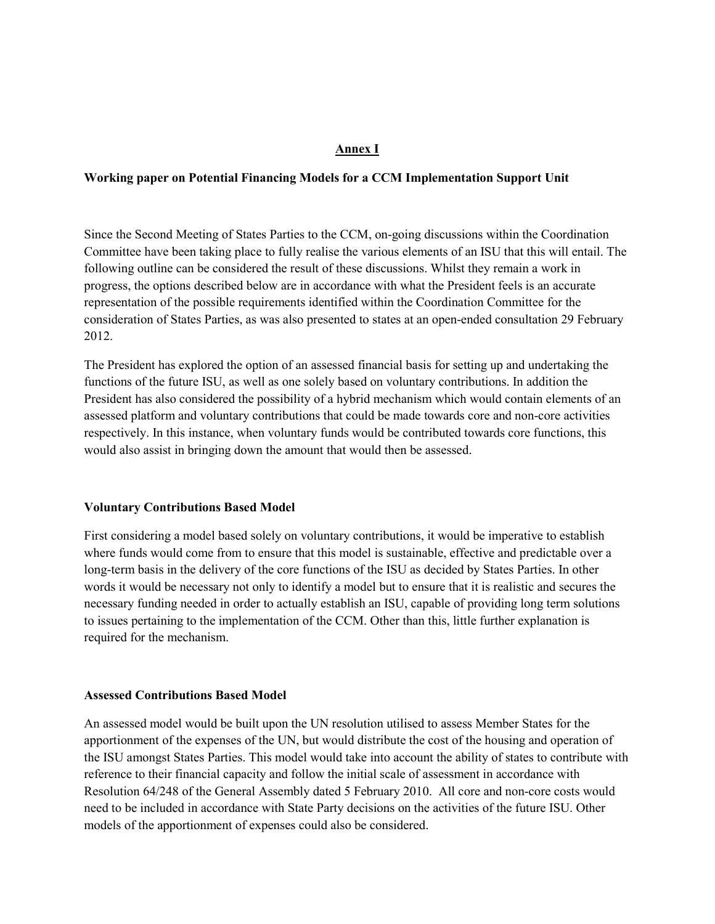### **Annex I**

### **Working paper on Potential Financing Models for a CCM Implementation Support Unit**

Since the Second Meeting of States Parties to the CCM, on-going discussions within the Coordination Committee have been taking place to fully realise the various elements of an ISU that this will entail. The following outline can be considered the result of these discussions. Whilst they remain a work in progress, the options described below are in accordance with what the President feels is an accurate representation of the possible requirements identified within the Coordination Committee for the consideration of States Parties, as was also presented to states at an open-ended consultation 29 February 2012.

The President has explored the option of an assessed financial basis for setting up and undertaking the functions of the future ISU, as well as one solely based on voluntary contributions. In addition the President has also considered the possibility of a hybrid mechanism which would contain elements of an assessed platform and voluntary contributions that could be made towards core and non-core activities respectively. In this instance, when voluntary funds would be contributed towards core functions, this would also assist in bringing down the amount that would then be assessed.

#### **Voluntary Contributions Based Model**

First considering a model based solely on voluntary contributions, it would be imperative to establish where funds would come from to ensure that this model is sustainable, effective and predictable over a long-term basis in the delivery of the core functions of the ISU as decided by States Parties. In other words it would be necessary not only to identify a model but to ensure that it is realistic and secures the necessary funding needed in order to actually establish an ISU, capable of providing long term solutions to issues pertaining to the implementation of the CCM. Other than this, little further explanation is required for the mechanism.

#### **Assessed Contributions Based Model**

An assessed model would be built upon the UN resolution utilised to assess Member States for the apportionment of the expenses of the UN, but would distribute the cost of the housing and operation of the ISU amongst States Parties. This model would take into account the ability of states to contribute with reference to their financial capacity and follow the initial scale of assessment in accordance with Resolution 64/248 of the General Assembly dated 5 February 2010. All core and non-core costs would need to be included in accordance with State Party decisions on the activities of the future ISU. Other models of the apportionment of expenses could also be considered.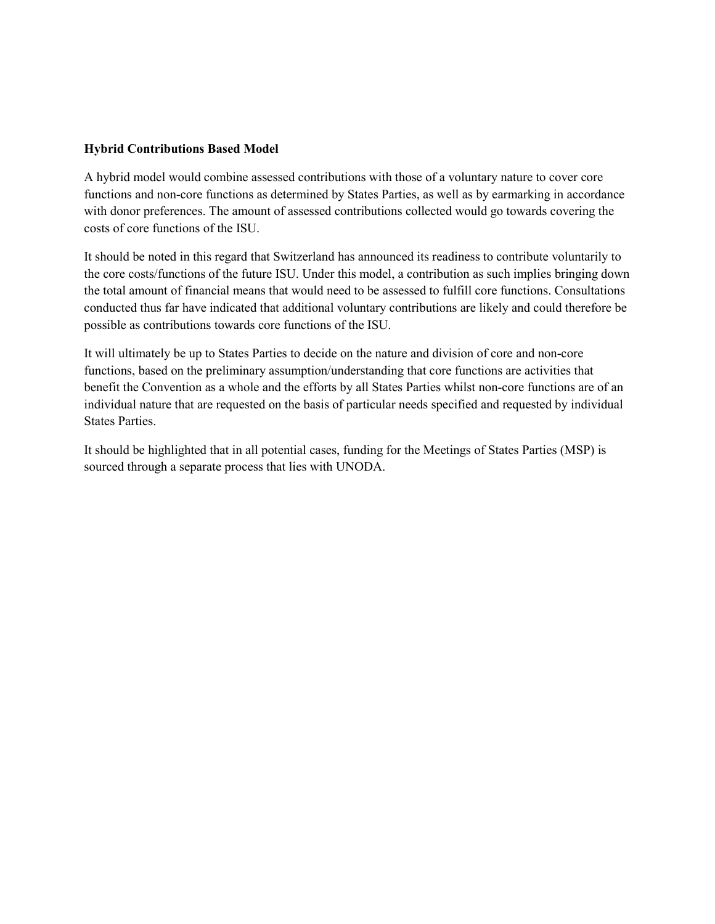## **Hybrid Contributions Based Model**

A hybrid model would combine assessed contributions with those of a voluntary nature to cover core functions and non-core functions as determined by States Parties, as well as by earmarking in accordance with donor preferences. The amount of assessed contributions collected would go towards covering the costs of core functions of the ISU.

It should be noted in this regard that Switzerland has announced its readiness to contribute voluntarily to the core costs/functions of the future ISU. Under this model, a contribution as such implies bringing down the total amount of financial means that would need to be assessed to fulfill core functions. Consultations conducted thus far have indicated that additional voluntary contributions are likely and could therefore be possible as contributions towards core functions of the ISU.

It will ultimately be up to States Parties to decide on the nature and division of core and non-core functions, based on the preliminary assumption/understanding that core functions are activities that benefit the Convention as a whole and the efforts by all States Parties whilst non-core functions are of an individual nature that are requested on the basis of particular needs specified and requested by individual States Parties.

It should be highlighted that in all potential cases, funding for the Meetings of States Parties (MSP) is sourced through a separate process that lies with UNODA.